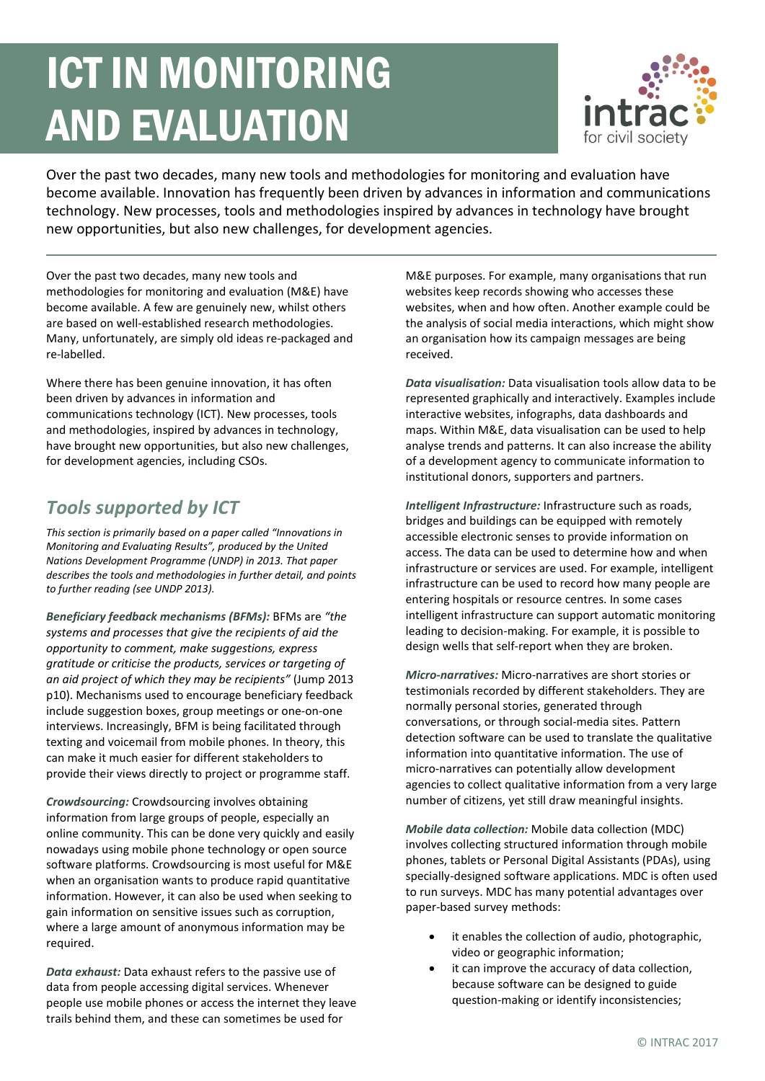# ICT IN MONITORING AND EVALUATION



Over the past two decades, many new tools and methodologies for monitoring and evaluation have become available. Innovation has frequently been driven by advances in information and communications technology. New processes, tools and methodologies inspired by advances in technology have brought new opportunities, but also new challenges, for development agencies.

Over the past two decades, many new tools and methodologies for monitoring and evaluation (M&E) have become available. A few are genuinely new, whilst others are based on well-established research methodologies. Many, unfortunately, are simply old ideas re-packaged and re-labelled.

Where there has been genuine innovation, it has often been driven by advances in information and communications technology (ICT). New processes, tools and methodologies, inspired by advances in technology, have brought new opportunities, but also new challenges, for development agencies, including CSOs.

## *Tools supported by ICT*

*This section is primarily based on a paper called "Innovations in Monitoring and Evaluating Results", produced by the United Nations Development Programme (UNDP) in 2013. That paper describes the tools and methodologies in further detail, and points to further reading (see UNDP 2013).* 

*Beneficiary feedback mechanisms (BFMs):* BFMs are *"the systems and processes that give the recipients of aid the opportunity to comment, make suggestions, express gratitude or criticise the products, services or targeting of an aid project of which they may be recipients"* (Jump 2013 p10). Mechanisms used to encourage beneficiary feedback include suggestion boxes, group meetings or one-on-one interviews. Increasingly, BFM is being facilitated through texting and voicemail from mobile phones. In theory, this can make it much easier for different stakeholders to provide their views directly to project or programme staff.

*Crowdsourcing:* Crowdsourcing involves obtaining information from large groups of people, especially an online community. This can be done very quickly and easily nowadays using mobile phone technology or open source software platforms. Crowdsourcing is most useful for M&E when an organisation wants to produce rapid quantitative information. However, it can also be used when seeking to gain information on sensitive issues such as corruption, where a large amount of anonymous information may be required.

*Data exhaust:* Data exhaust refers to the passive use of data from people accessing digital services. Whenever people use mobile phones or access the internet they leave trails behind them, and these can sometimes be used for

M&E purposes. For example, many organisations that run websites keep records showing who accesses these websites, when and how often. Another example could be the analysis of social media interactions, which might show an organisation how its campaign messages are being received.

*Data visualisation:* Data visualisation tools allow data to be represented graphically and interactively. Examples include interactive websites, infographs, data dashboards and maps. Within M&E, data visualisation can be used to help analyse trends and patterns. It can also increase the ability of a development agency to communicate information to institutional donors, supporters and partners.

*Intelligent Infrastructure:* Infrastructure such as roads, bridges and buildings can be equipped with remotely accessible electronic senses to provide information on access. The data can be used to determine how and when infrastructure or services are used. For example, intelligent infrastructure can be used to record how many people are entering hospitals or resource centres. In some cases intelligent infrastructure can support automatic monitoring leading to decision-making. For example, it is possible to design wells that self-report when they are broken.

*Micro-narratives:* Micro-narratives are short stories or testimonials recorded by different stakeholders. They are normally personal stories, generated through conversations, or through social-media sites. Pattern detection software can be used to translate the qualitative information into quantitative information. The use of micro-narratives can potentially allow development agencies to collect qualitative information from a very large number of citizens, yet still draw meaningful insights.

*Mobile data collection:* Mobile data collection (MDC) involves collecting structured information through mobile phones, tablets or Personal Digital Assistants (PDAs), using specially-designed software applications. MDC is often used to run surveys. MDC has many potential advantages over paper-based survey methods:

- it enables the collection of audio, photographic, video or geographic information;
- it can improve the accuracy of data collection, because software can be designed to guide question-making or identify inconsistencies;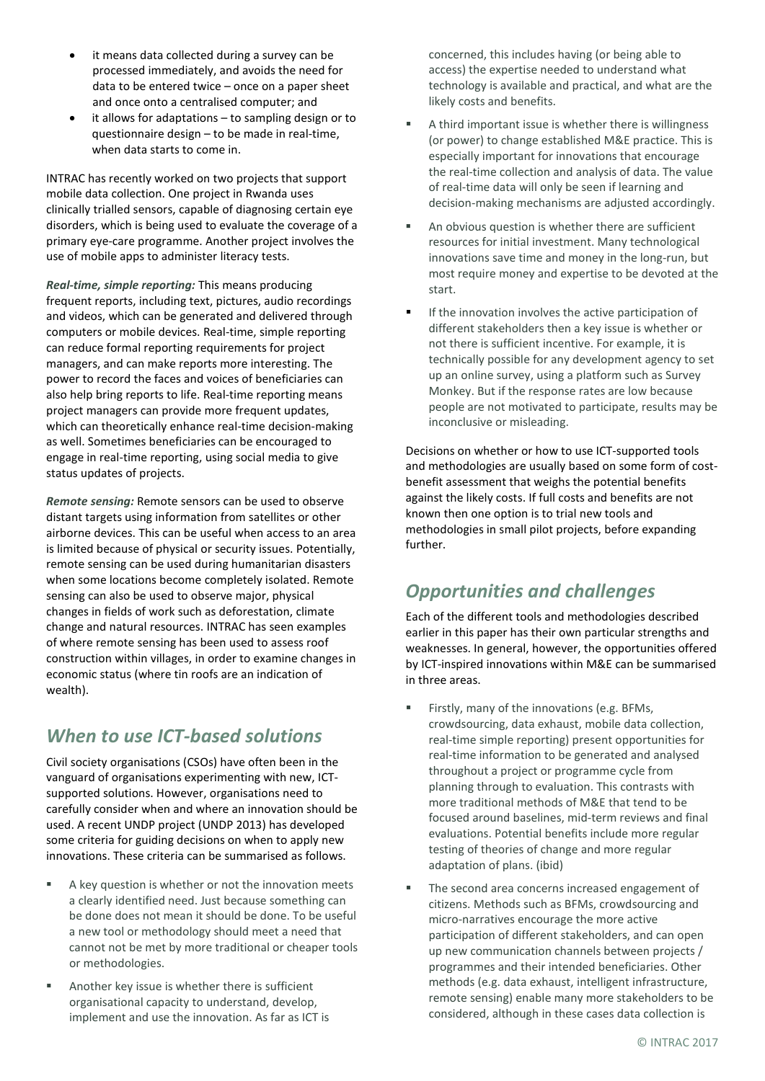- it means data collected during a survey can be processed immediately, and avoids the need for data to be entered twice – once on a paper sheet and once onto a centralised computer; and
- it allows for adaptations to sampling design or to questionnaire design – to be made in real-time, when data starts to come in.

INTRAC has recently worked on two projects that support mobile data collection. One project in Rwanda uses clinically trialled sensors, capable of diagnosing certain eye disorders, which is being used to evaluate the coverage of a primary eye-care programme. Another project involves the use of mobile apps to administer literacy tests.

*Real-time, simple reporting:* This means producing frequent reports, including text, pictures, audio recordings and videos, which can be generated and delivered through computers or mobile devices. Real-time, simple reporting can reduce formal reporting requirements for project managers, and can make reports more interesting. The power to record the faces and voices of beneficiaries can also help bring reports to life. Real-time reporting means project managers can provide more frequent updates, which can theoretically enhance real-time decision-making as well. Sometimes beneficiaries can be encouraged to engage in real-time reporting, using social media to give status updates of projects.

*Remote sensing:* Remote sensors can be used to observe distant targets using information from satellites or other airborne devices. This can be useful when access to an area is limited because of physical or security issues. Potentially, remote sensing can be used during humanitarian disasters when some locations become completely isolated. Remote sensing can also be used to observe major, physical changes in fields of work such as deforestation, climate change and natural resources. INTRAC has seen examples of where remote sensing has been used to assess roof construction within villages, in order to examine changes in economic status (where tin roofs are an indication of wealth).

## *When to use ICT-based solutions*

Civil society organisations (CSOs) have often been in the vanguard of organisations experimenting with new, ICTsupported solutions. However, organisations need to carefully consider when and where an innovation should be used. A recent UNDP project (UNDP 2013) has developed some criteria for guiding decisions on when to apply new innovations. These criteria can be summarised as follows.

- A key question is whether or not the innovation meets a clearly identified need. Just because something can be done does not mean it should be done. To be useful a new tool or methodology should meet a need that cannot not be met by more traditional or cheaper tools or methodologies.
- Another key issue is whether there is sufficient organisational capacity to understand, develop, implement and use the innovation. As far as ICT is

concerned, this includes having (or being able to access) the expertise needed to understand what technology is available and practical, and what are the likely costs and benefits.

- A third important issue is whether there is willingness (or power) to change established M&E practice. This is especially important for innovations that encourage the real-time collection and analysis of data. The value of real-time data will only be seen if learning and decision-making mechanisms are adjusted accordingly.
- An obvious question is whether there are sufficient resources for initial investment. Many technological innovations save time and money in the long-run, but most require money and expertise to be devoted at the start.
- If the innovation involves the active participation of different stakeholders then a key issue is whether or not there is sufficient incentive. For example, it is technically possible for any development agency to set up an online survey, using a platform such as Survey Monkey. But if the response rates are low because people are not motivated to participate, results may be inconclusive or misleading.

Decisions on whether or how to use ICT-supported tools and methodologies are usually based on some form of costbenefit assessment that weighs the potential benefits against the likely costs. If full costs and benefits are not known then one option is to trial new tools and methodologies in small pilot projects, before expanding further.

## *Opportunities and challenges*

Each of the different tools and methodologies described earlier in this paper has their own particular strengths and weaknesses. In general, however, the opportunities offered by ICT-inspired innovations within M&E can be summarised in three areas.

- Firstly, many of the innovations (e.g. BFMs, crowdsourcing, data exhaust, mobile data collection, real-time simple reporting) present opportunities for real-time information to be generated and analysed throughout a project or programme cycle from planning through to evaluation. This contrasts with more traditional methods of M&E that tend to be focused around baselines, mid-term reviews and final evaluations. Potential benefits include more regular testing of theories of change and more regular adaptation of plans. (ibid)
- **The second area concerns increased engagement of** citizens. Methods such as BFMs, crowdsourcing and micro-narratives encourage the more active participation of different stakeholders, and can open up new communication channels between projects / programmes and their intended beneficiaries. Other methods (e.g. data exhaust, intelligent infrastructure, remote sensing) enable many more stakeholders to be considered, although in these cases data collection is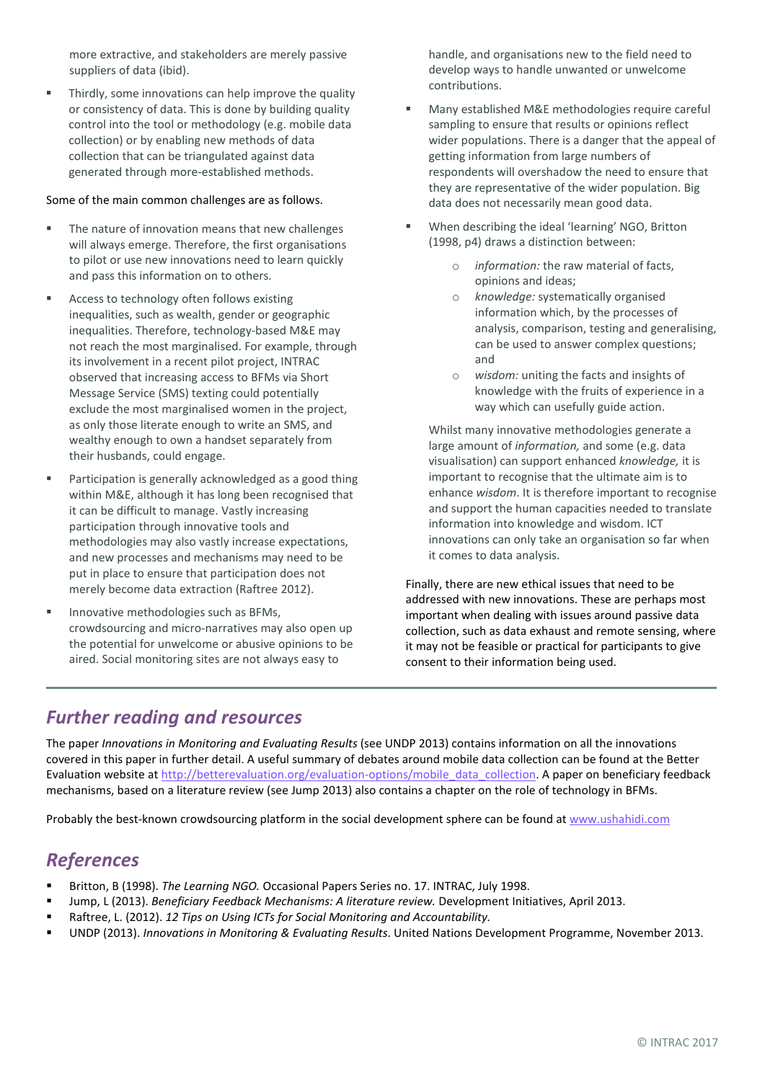more extractive, and stakeholders are merely passive suppliers of data (ibid).

**F** Thirdly, some innovations can help improve the quality or consistency of data. This is done by building quality control into the tool or methodology (e.g. mobile data collection) or by enabling new methods of data collection that can be triangulated against data generated through more-established methods.

#### Some of the main common challenges are as follows.

- The nature of innovation means that new challenges will always emerge. Therefore, the first organisations to pilot or use new innovations need to learn quickly and pass this information on to others.
- **Access to technology often follows existing** inequalities, such as wealth, gender or geographic inequalities. Therefore, technology-based M&E may not reach the most marginalised. For example, through its involvement in a recent pilot project, INTRAC observed that increasing access to BFMs via Short Message Service (SMS) texting could potentially exclude the most marginalised women in the project, as only those literate enough to write an SMS, and wealthy enough to own a handset separately from their husbands, could engage.
- Participation is generally acknowledged as a good thing within M&E, although it has long been recognised that it can be difficult to manage. Vastly increasing participation through innovative tools and methodologies may also vastly increase expectations, and new processes and mechanisms may need to be put in place to ensure that participation does not merely become data extraction (Raftree 2012).
- Innovative methodologies such as BFMs, crowdsourcing and micro-narratives may also open up the potential for unwelcome or abusive opinions to be aired. Social monitoring sites are not always easy to

handle, and organisations new to the field need to develop ways to handle unwanted or unwelcome contributions.

- Many established M&E methodologies require careful sampling to ensure that results or opinions reflect wider populations. There is a danger that the appeal of getting information from large numbers of respondents will overshadow the need to ensure that they are representative of the wider population. Big data does not necessarily mean good data.
- When describing the ideal 'learning' NGO, Britton (1998, p4) draws a distinction between:
	- o *information:* the raw material of facts, opinions and ideas;
	- o *knowledge:* systematically organised information which, by the processes of analysis, comparison, testing and generalising, can be used to answer complex questions; and
	- o *wisdom:* uniting the facts and insights of knowledge with the fruits of experience in a way which can usefully guide action.

Whilst many innovative methodologies generate a large amount of *information,* and some (e.g. data visualisation) can support enhanced *knowledge,* it is important to recognise that the ultimate aim is to enhance *wisdom*. It is therefore important to recognise and support the human capacities needed to translate information into knowledge and wisdom. ICT innovations can only take an organisation so far when it comes to data analysis.

Finally, there are new ethical issues that need to be addressed with new innovations. These are perhaps most important when dealing with issues around passive data collection, such as data exhaust and remote sensing, where it may not be feasible or practical for participants to give consent to their information being used.

#### *Further reading and resources*

The paper *Innovations in Monitoring and Evaluating Results* (see UNDP 2013) contains information on all the innovations covered in this paper in further detail. A useful summary of debates around mobile data collection can be found at the Better Evaluation website a[t http://betterevaluation.org/evaluation-options/mobile\\_data\\_collection.](http://betterevaluation.org/evaluation-options/mobile_data_collection) A paper on beneficiary feedback mechanisms, based on a literature review (see Jump 2013) also contains a chapter on the role of technology in BFMs.

Probably the best-known crowdsourcing platform in the social development sphere can be found a[t www.ushahidi.com](http://www.ushahidi.com/)

### *References*

- Britton, B (1998). *The Learning NGO.* Occasional Papers Series no. 17. INTRAC, July 1998.
- Jump, L (2013). *Beneficiary Feedback Mechanisms: A literature review.* Development Initiatives, April 2013.
- Raftree, L. (2012). *12 Tips on Using ICTs for Social Monitoring and Accountability.*
- UNDP (2013). *Innovations in Monitoring & Evaluating Results*. United Nations Development Programme, November 2013.